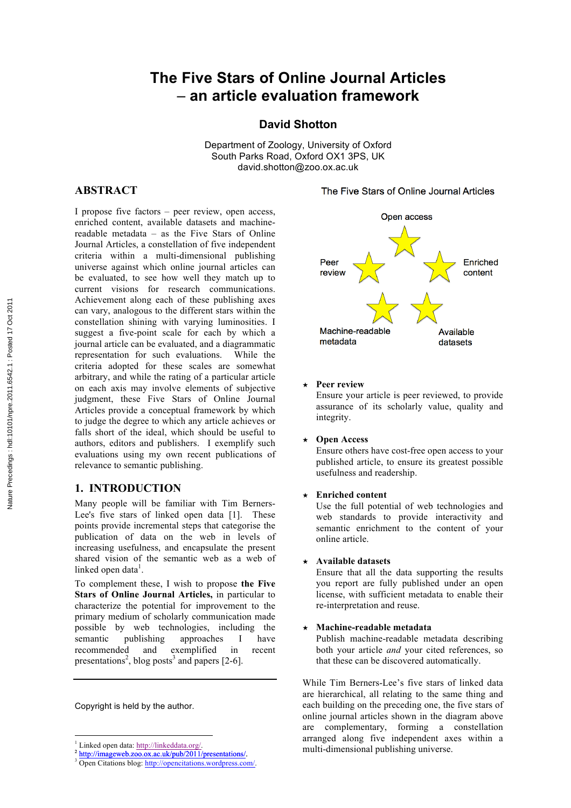# **The Five Stars of Online Journal Articles** – **an article evaluation framework**

**David Shotton**

Department of Zoology, University of Oxford South Parks Road, Oxford OX1 3PS, UK david.shotton@zoo.ox.ac.uk

# **ABSTRACT**

I propose five factors – peer review, open access, enriched content, available datasets and machinereadable metadata – as the Five Stars of Online Journal Articles, a constellation of five independent criteria within a multi-dimensional publishing universe against which online journal articles can be evaluated, to see how well they match up to current visions for research communications. Achievement along each of these publishing axes can vary, analogous to the different stars within the constellation shining with varying luminosities. I suggest a five-point scale for each by which a journal article can be evaluated, and a diagrammatic representation for such evaluations. While the criteria adopted for these scales are somewhat arbitrary, and while the rating of a particular article on each axis may involve elements of subjective judgment, these Five Stars of Online Journal Articles provide a conceptual framework by which to judge the degree to which any article achieves or falls short of the ideal, which should be useful to authors, editors and publishers. I exemplify such evaluations using my own recent publications of relevance to semantic publishing.

# **1. INTRODUCTION**

Many people will be familiar with Tim Berners-Lee's five stars of linked open data [1]. These points provide incremental steps that categorise the publication of data on the web in levels of increasing usefulness, and encapsulate the present shared vision of the semantic web as a web of linked open data<sup>1</sup>.

To complement these, I wish to propose **the Five Stars of Online Journal Articles,** in particular to characterize the potential for improvement to the primary medium of scholarly communication made possible by web technologies, including the semantic publishing approaches I have recommended and exemplified in recent presentations<sup>2</sup>, blog posts<sup>3</sup> and papers [2-6].

Copyright is held by the author.

!!!!!!!!!!!!!!!!!!!!!!!!!!!!!!!!!!!!!!!!!!!!!!!!!!!!!!!

The Five Stars of Online Journal Articles



### **★ Peer review**

Ensure your article is peer reviewed, to provide assurance of its scholarly value, quality and integrity.

### **★ Open Access**

Ensure others have cost-free open access to your published article, to ensure its greatest possible usefulness and readership.

### **★ Enriched content**

Use the full potential of web technologies and web standards to provide interactivity and semantic enrichment to the content of your online article.

# **★ Available datasets**

Ensure that all the data supporting the results you report are fully published under an open license, with sufficient metadata to enable their re-interpretation and reuse.

### **★ Machine-readable metadata**

Publish machine-readable metadata describing both your article *and* your cited references, so that these can be discovered automatically.

While Tim Berners-Lee's five stars of linked data are hierarchical, all relating to the same thing and each building on the preceding one, the five stars of online journal articles shown in the diagram above are complementary, forming a constellation arranged along five independent axes within a multi-dimensional publishing universe.

<sup>&</sup>lt;sup>1</sup> Linked open data: http://linkeddata.org/.<br><sup>2</sup> http://imageweb.zoo.ox.ac.uk/pub/2011/presentations/.<br><sup>3</sup> Open Citations blog: http://opencitations.wordpress.com/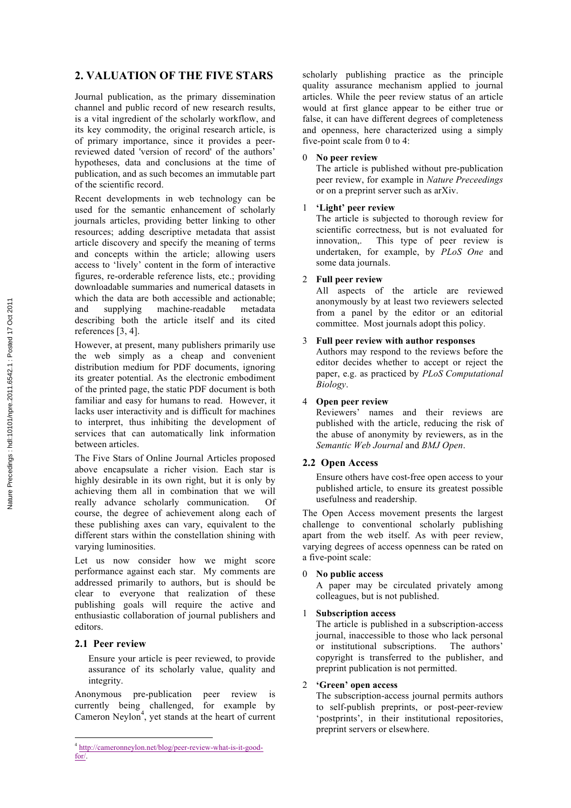# **2. VALUATION OF THE FIVE STARS**

Journal publication, as the primary dissemination channel and public record of new research results, is a vital ingredient of the scholarly workflow, and its key commodity, the original research article, is of primary importance, since it provides a peerreviewed dated 'version of record' of the authors' hypotheses, data and conclusions at the time of publication, and as such becomes an immutable part of the scientific record.

Recent developments in web technology can be used for the semantic enhancement of scholarly journals articles, providing better linking to other resources; adding descriptive metadata that assist article discovery and specify the meaning of terms and concepts within the article; allowing users access to 'lively' content in the form of interactive figures, re-orderable reference lists, etc.; providing downloadable summaries and numerical datasets in which the data are both accessible and actionable; and supplying machine-readable metadata describing both the article itself and its cited references [3, 4].

However, at present, many publishers primarily use the web simply as a cheap and convenient distribution medium for PDF documents, ignoring its greater potential. As the electronic embodiment of the printed page, the static PDF document is both familiar and easy for humans to read. However, it lacks user interactivity and is difficult for machines to interpret, thus inhibiting the development of services that can automatically link information between articles.

The Five Stars of Online Journal Articles proposed above encapsulate a richer vision. Each star is highly desirable in its own right, but it is only by achieving them all in combination that we will really advance scholarly communication. Of course, the degree of achievement along each of these publishing axes can vary, equivalent to the different stars within the constellation shining with varying luminosities.

Let us now consider how we might score performance against each star. My comments are addressed primarily to authors, but is should be clear to everyone that realization of these publishing goals will require the active and enthusiastic collaboration of journal publishers and editors.

# **2.1 Peer review**

Ensure your article is peer reviewed, to provide assurance of its scholarly value, quality and integrity.

Anonymous pre-publication peer review is currently being challenged, for example by Cameron Neylon<sup>4</sup>, yet stands at the heart of current

!!!!!!!!!!!!!!!!!!!!!!!!!!!!!!!!!!!!!!!!!!!!!!!!!!!!!!!

scholarly publishing practice as the principle quality assurance mechanism applied to journal articles. While the peer review status of an article would at first glance appear to be either true or false, it can have different degrees of completeness and openness, here characterized using a simply five-point scale from 0 to 4:

### 0 **No peer review**

The article is published without pre-publication peer review, for example in *Nature Preceedings* or on a preprint server such as arXiv.

# 1 **'Light' peer review**

The article is subjected to thorough review for scientific correctness, but is not evaluated for innovation,. This type of peer review is undertaken, for example, by *PLoS One* and some data journals.

# 2 **Full peer review**

All aspects of the article are reviewed anonymously by at least two reviewers selected from a panel by the editor or an editorial committee. Most journals adopt this policy.

# 3 **Full peer review with author responses**

Authors may respond to the reviews before the editor decides whether to accept or reject the paper, e.g. as practiced by *PLoS Computational Biology*.

# 4 **Open peer review**

Reviewers' names and their reviews are published with the article, reducing the risk of the abuse of anonymity by reviewers, as in the *Semantic Web Journal* and *BMJ Open*.

# **2.2 Open Access**

Ensure others have cost-free open access to your published article, to ensure its greatest possible usefulness and readership.

The Open Access movement presents the largest challenge to conventional scholarly publishing apart from the web itself. As with peer review, varying degrees of access openness can be rated on a five-point scale:

# 0 **No public access**

A paper may be circulated privately among colleagues, but is not published.

### **Subscription access**

The article is published in a subscription-access journal, inaccessible to those who lack personal or institutional subscriptions. The authors' copyright is transferred to the publisher, and preprint publication is not permitted.

# 2 **'Green' open access**

The subscription-access journal permits authors to self-publish preprints, or post-peer-review 'postprints', in their institutional repositories, preprint servers or elsewhere.

<sup>4</sup> http://cameronneylon.net/blog/peer-review-what-is-it-goodfor/.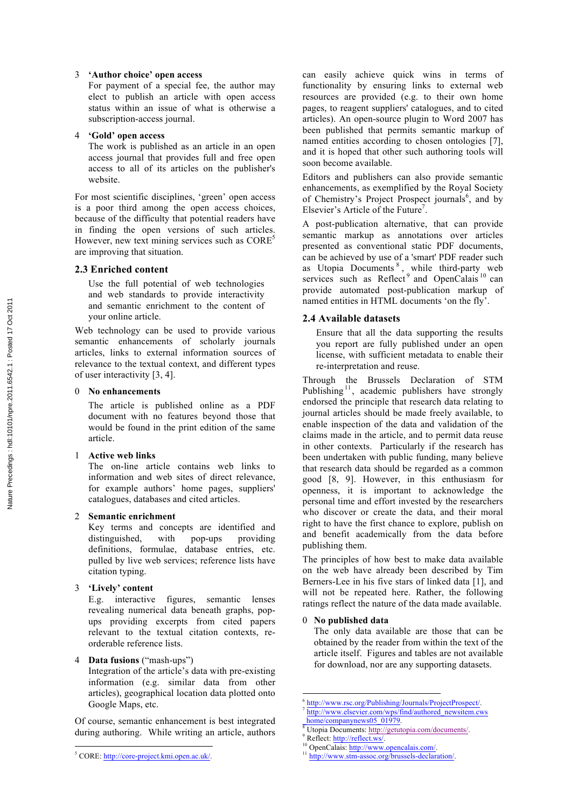### 3 **'Author choice' open access**

For payment of a special fee, the author may elect to publish an article with open access status within an issue of what is otherwise a subscription-access journal.

### 4 **'Gold' open access**

The work is published as an article in an open access journal that provides full and free open access to all of its articles on the publisher's website.

For most scientific disciplines, 'green' open access is a poor third among the open access choices, because of the difficulty that potential readers have in finding the open versions of such articles. However, new text mining services such as  $\text{CORE}^5$ are improving that situation.

### **2.3 Enriched content**

Use the full potential of web technologies and web standards to provide interactivity and semantic enrichment to the content of your online article.

Web technology can be used to provide various semantic enhancements of scholarly journals articles, links to external information sources of relevance to the textual context, and different types of user interactivity [3, 4].

### 0 **No enhancements**

The article is published online as a PDF document with no features beyond those that would be found in the print edition of the same article.

### 1 **Active web links**

The on-line article contains web links to information and web sites of direct relevance, for example authors' home pages, suppliers' catalogues, databases and cited articles.

### 2 **Semantic enrichment**

Key terms and concepts are identified and distinguished, with pop-ups providing definitions, formulae, database entries, etc. pulled by live web services; reference lists have citation typing.

### 3 **'Lively' content**

E.g. interactive figures, semantic lenses revealing numerical data beneath graphs, popups providing excerpts from cited papers relevant to the textual citation contexts, reorderable reference lists.

### 4 **Data fusions** ("mash-ups")

Integration of the article's data with pre-existing information (e.g. similar data from other articles), geographical location data plotted onto Google Maps, etc.

Of course, semantic enhancement is best integrated during authoring. While writing an article, authors can easily achieve quick wins in terms of functionality by ensuring links to external web resources are provided (e.g. to their own home pages, to reagent suppliers' catalogues, and to cited articles). An open-source plugin to Word 2007 has been published that permits semantic markup of named entities according to chosen ontologies [7], and it is hoped that other such authoring tools will soon become available.

Editors and publishers can also provide semantic enhancements, as exemplified by the Royal Society of Chemistry's Project Prospect journals<sup>6</sup>, and by Elsevier's Article of the Future<sup>7</sup>.

A post-publication alternative, that can provide semantic markup as annotations over articles presented as conventional static PDF documents, can be achieved by use of a 'smart' PDF reader such as Utopia Documents<sup>8</sup>, while third-party web services such as Reflect<sup>9</sup> and OpenCalais<sup>10</sup> can provide automated post-publication markup of named entities in HTML documents 'on the fly'.

### **2.4 Available datasets**

Ensure that all the data supporting the results you report are fully published under an open license, with sufficient metadata to enable their re-interpretation and reuse.

Through the Brussels Declaration of STM Publishing<sup>11</sup>, academic publishers have strongly endorsed the principle that research data relating to journal articles should be made freely available, to enable inspection of the data and validation of the claims made in the article, and to permit data reuse in other contexts. Particularly if the research has been undertaken with public funding, many believe that research data should be regarded as a common good [8, 9]. However, in this enthusiasm for openness, it is important to acknowledge the personal time and effort invested by the researchers who discover or create the data, and their moral right to have the first chance to explore, publish on and benefit academically from the data before publishing them.

The principles of how best to make data available on the web have already been described by Tim Berners-Lee in his five stars of linked data [1], and will not be repeated here. Rather, the following ratings reflect the nature of the data made available.

### 0 **No published data**

The only data available are those that can be obtained by the reader from within the text of the article itself. Figures and tables are not available for download, nor are any supporting datasets.

!!!!!!!!!!!!!!!!!!!!!!!!!!!!!!!!!!!!!!!!!!!!!!!!!!!!!!!

<sup>!!!!!!!!!!!!!!!!!!!!!!!!!!!!!!!!!!!!!!!!!!!!!!!!!!!!!!!</sup> <sup>5</sup> CORE: http://core-project.kmi.open.ac.uk/.

http://www.rsc.org/Publishing/Journals/ProjectProspect/.<br>http://www.elsevier.com/wps/find/authored\_newsitem.cws<br>home/companynews05\_01979.

<sup>&</sup>lt;sup>8</sup> Utopia Documents: http://getutopia.com/documents/<br><sup>9</sup> Reflect: http://reflect.ws/.<br><sup>10</sup> OpenCalais: http://www.opencalais.com/.<br><sup>11</sup> http://www.stm-assoc.org/brussels-declaration/.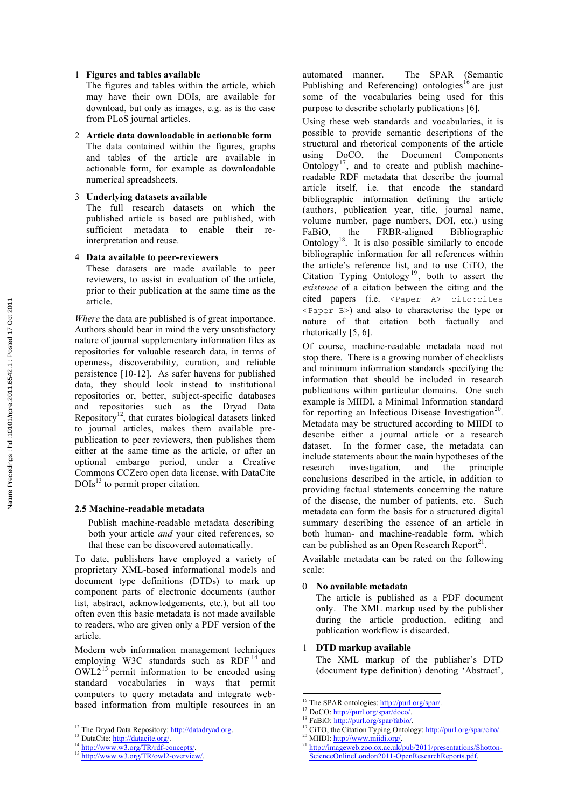### 1 **Figures and tables available**

The figures and tables within the article, which may have their own DOIs, are available for download, but only as images, e.g. as is the case from PLoS journal articles.

2 **Article data downloadable in actionable form** The data contained within the figures, graphs and tables of the article are available in actionable form, for example as downloadable numerical spreadsheets.

### 3 **Underlying datasets available**

The full research datasets on which the published article is based are published, with sufficient metadata to enable their reinterpretation and reuse.

### 4 **Data available to peer-reviewers**

These datasets are made available to peer reviewers, to assist in evaluation of the article, prior to their publication at the same time as the article.

*Where* the data are published is of great importance. Authors should bear in mind the very unsatisfactory nature of journal supplementary information files as repositories for valuable research data, in terms of openness, discoverability, curation, and reliable persistence [10-12]. As safer havens for published data, they should look instead to institutional repositories or, better, subject-specific databases and repositories such as the Dryad Data Repository<sup>12</sup>, that curates biological datasets linked to journal articles, makes them available prepublication to peer reviewers, then publishes them either at the same time as the article, or after an optional embargo period, under a Creative Commons CCZero open data license, with DataCite  $DOIs<sup>13</sup>$  to permit proper citation.

### **2.5 Machine-readable metadata**

Publish machine-readable metadata describing both your article *and* your cited references, so that these can be discovered automatically.

To date, publishers have employed a variety of proprietary XML-based informational models and document type definitions (DTDs) to mark up component parts of electronic documents (author list, abstract, acknowledgements, etc.), but all too often even this basic metadata is not made available to readers, who are given only a PDF version of the article.

Modern web information management techniques employing W3C standards such as RDF<sup>14</sup> and  $OWL2<sup>15</sup>$  permit information to be encoded using standard vocabularies in ways that permit computers to query metadata and integrate webbased information from multiple resources in an

!!!!!!!!!!!!!!!!!!!!!!!!!!!!!!!!!!!!!!!!!!!!!!!!!!!!!!!

automated manner. The SPAR (Semantic Publishing and Referencing) ontologies<sup>16</sup> are just some of the vocabularies being used for this purpose to describe scholarly publications [6].

Using these web standards and vocabularies, it is possible to provide semantic descriptions of the structural and rhetorical components of the article using DoCO, the Document Components Ontology<sup>17</sup>, and to create and publish machinereadable RDF metadata that describe the journal article itself, i.e. that encode the standard bibliographic information defining the article (authors, publication year, title, journal name, volume number, page numbers, DOI, etc.) using FaBiO, the FRBR-aligned Bibliographic Ontology<sup>18</sup>. It is also possible similarly to encode bibliographic information for all references within the article's reference list, and to use CiTO, the Citation Typing Ontology<sup>19</sup>, both to assert the *existence* of a citation between the citing and the cited papers (i.e. <Paper A> cito:cites <Paper B>) and also to characterise the type or nature of that citation both factually and rhetorically [5, 6].

Of course, machine-readable metadata need not stop there. There is a growing number of checklists and minimum information standards specifying the information that should be included in research publications within particular domains. One such example is MIIDI, a Minimal Information standard for reporting an Infectious Disease Investigation<sup>20</sup>. Metadata may be structured according to MIIDI to describe either a journal article or a research dataset. In the former case, the metadata can include statements about the main hypotheses of the research investigation, and the principle conclusions described in the article, in addition to providing factual statements concerning the nature of the disease, the number of patients, etc. Such metadata can form the basis for a structured digital summary describing the essence of an article in both human- and machine-readable form, which can be published as an Open Research Report<sup>21</sup>.

Available metadata can be rated on the following scale:

### 0 **No available metadata**

The article is published as a PDF document only. The XML markup used by the publisher during the article production, editing and publication workflow is discarded.

### 1 **DTD markup available**

The XML markup of the publisher's DTD (document type definition) denoting 'Abstract',

<sup>&</sup>lt;sup>12</sup> The Dryad Data Repository: <u>http://datadryad.org</u>. <sup>13</sup> DataCite: http://datacite.org/.<br><sup>14</sup> http://www.w3.org/TR/rdf-concepts/. 15 http://www.w3.org/TR/owl2-overview/.

<sup>!!!!!!!!!!!!!!!!!!!!!!!!!!!!!!!!!!!!!!!!!!!!!!!!!!!!!!!</sup>

<sup>&</sup>lt;sup>16</sup> The SPAR ontologies: <u>http://purl.org/spar/.</u><br><sup>17</sup> DoCO: <u>http://purl.org/spar/doco/.</u><br><sup>18</sup> FaBiO: <u>http://purl.org/spar/fabio/.</u><br><sup>19</sup> CiTO, the Citation Typing Ontology: <u>http://purl.org/spar/cito/.</u><br><sup>20</sup> MIIDI: htt

<sup>&</sup>lt;sup>21</sup> http://imageweb.zoo.ox.ac.uk/pub/2011/presentations/Shotton-ScienceOnlineLondon2011-OpenResearchReports.pdf.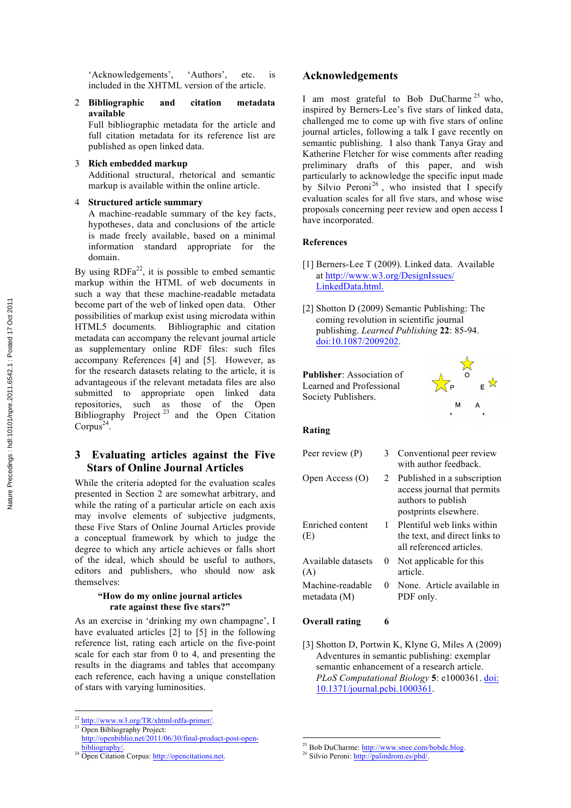'Acknowledgements', 'Authors', etc. is included in the XHTML version of the article.

2 **Bibliographic and citation metadata available**

Full bibliographic metadata for the article and full citation metadata for its reference list are published as open linked data.

### 3 **Rich embedded markup**

Additional structural, rhetorical and semantic markup is available within the online article.

### 4 **Structured article summary**

A machine-readable summary of the key facts, hypotheses, data and conclusions of the article is made freely available, based on a minimal information standard appropriate for the domain.

By using  $RDFa^{22}$ , it is possible to embed semantic markup within the HTML of web documents in such a way that these machine-readable metadata become part of the web of linked open data. Other possibilities of markup exist using microdata within HTML5 documents. Bibliographic and citation metadata can accompany the relevant journal article as supplementary online RDF files: such files accompany References [4] and [5]. However, as for the research datasets relating to the article, it is advantageous if the relevant metadata files are also submitted to appropriate open linked data repositories, such as those of the Open Bibliography Project  $23$  and the Open Citation Corpus<sup>24</sup>.

# **3 Evaluating articles against the Five Stars of Online Journal Articles**

While the criteria adopted for the evaluation scales presented in Section 2 are somewhat arbitrary, and while the rating of a particular article on each axis may involve elements of subjective judgments, these Five Stars of Online Journal Articles provide a conceptual framework by which to judge the degree to which any article achieves or falls short of the ideal, which should be useful to authors, editors and publishers, who should now ask themselves:

### **"How do my online journal articles rate against these five stars?"**

As an exercise in 'drinking my own champagne', I have evaluated articles [2] to [5] in the following reference list, rating each article on the five-point scale for each star from 0 to 4, and presenting the results in the diagrams and tables that accompany each reference, each having a unique constellation of stars with varying luminosities.

# **Acknowledgements**

I am most grateful to Bob DuCharme<sup>25</sup> who, inspired by Berners-Lee's five stars of linked data, challenged me to come up with five stars of online journal articles, following a talk I gave recently on semantic publishing. I also thank Tanya Gray and Katherine Fletcher for wise comments after reading preliminary drafts of this paper, and wish particularly to acknowledge the specific input made by Silvio Peroni<sup>26</sup>, who insisted that I specify evaluation scales for all five stars, and whose wise proposals concerning peer review and open access I have incorporated.

### **References**

- [1] Berners-Lee T (2009). Linked data. Available at http://www.w3.org/DesignIssues/ LinkedData.html.
- [2] Shotton D (2009) Semantic Publishing: The coming revolution in scientific journal publishing. *Learned Publishing* **22**: 85-94. doi:10.1087/2009202.

**Publisher**: Association of Learned and Professional Society Publishers.



### **Rating**

| Peer review (P)                  | 3        | Conventional peer review<br>with author feedback                                                          |
|----------------------------------|----------|-----------------------------------------------------------------------------------------------------------|
| Open Access (O)                  | 2        | Published in a subscription<br>access journal that permits<br>authors to publish<br>postprints elsewhere. |
| Enriched content<br>(E)          | 1.       | Plentiful web links within<br>the text, and direct links to<br>all referenced articles                    |
| Available datasets<br>(A)        | $\theta$ | Not applicable for this<br>article.                                                                       |
| Machine-readable<br>metadata (M) | 0        | None. Article available in<br>PDF only.                                                                   |

### **Overall rating 6**

[3] Shotton D, Portwin K, Klyne G, Miles A (2009) Adventures in semantic publishing: exemplar semantic enhancement of a research article. *PLoS Computational Biology* **5**: e1000361. doi: 10.1371/journal.pcbi.1000361.

!!!!!!!!!!!!!!!!!!!!!!!!!!!!!!!!!!!!!!!!!!!!!!!!!!!!!!!

<sup>!!!!!!!!!!!!!!!!!!!!!!!!!!!!!!!!!!!!!!!!!!!!!!!!!!!!!!!</sup>  $^{22}$  http://www.w3.org/TR/xhtml-rdfa-primer/.<br><sup>23</sup> Open Bibliography Project:

<sup>&</sup>lt;sup>23</sup> Open Bibliography Project:<br>http://openbiblio.net/2011/06/30/final-product-post-open-

<sup>&</sup>lt;sup>24</sup> Open Citation Corpus: http://opencitations.net.

<sup>&</sup>lt;sup>25</sup> Bob DuCharme: http://www.snee.com/bobdc.blog.<sup>26</sup> Silvio Peroni: http://palindrom.es/phd/.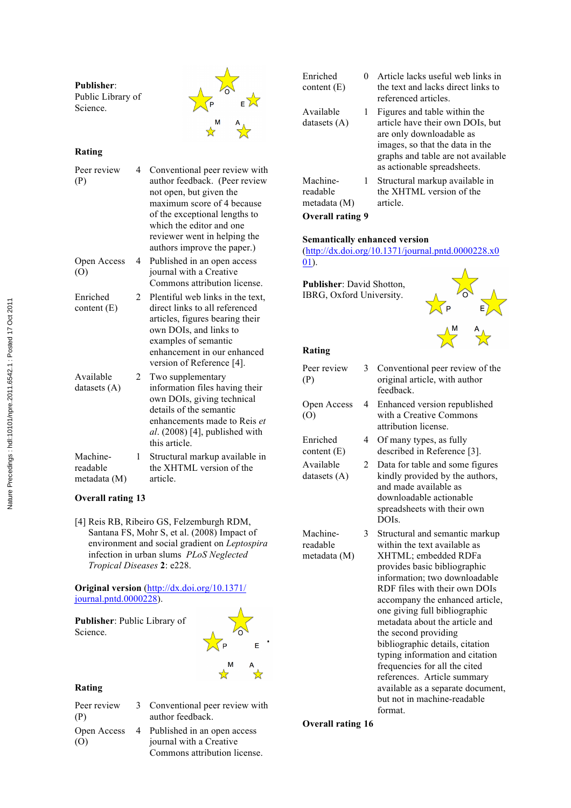| <b>Publisher:</b><br>Public Library of<br>Science. |                                                                                                                                                                                                                      |
|----------------------------------------------------|----------------------------------------------------------------------------------------------------------------------------------------------------------------------------------------------------------------------|
| Rating                                             |                                                                                                                                                                                                                      |
| Peer review<br>4<br>(P)                            | Conventional peer review with<br>author feedback. (Peer review<br>not open, but given the<br>maximum score of 4 because<br>of the exceptional lengths to<br>which the editor and one<br>reviewer went in helping the |

authors improve the paper.) Open Access (O) 4 Published in an open access journal with a Creative Commons attribution license.

Enriched content (E) 2 Plentiful web links in the text, direct links to all referenced articles, figures bearing their own DOIs, and links to examples of semantic enhancement in our enhanced version of Reference [4].

| Available      |   | Two supplementary                |
|----------------|---|----------------------------------|
| datasets $(A)$ |   | information files having their   |
|                |   | own DOIs, giving technical       |
|                |   | details of the semantic          |
|                |   | enhancements made to Reis et     |
|                |   | al. $(2008)$ [4], published with |
|                |   | this article.                    |
| Machine-       | 1 | Structural markup available in   |
| readable       |   | the XHTML version of the         |

metadata (M) article.

# **Overall rating 13**

[4] Reis RB, Ribeiro GS, Felzemburgh RDM, Santana FS, Mohr S, et al. (2008) Impact of environment and social gradient on *Leptospira* infection in urban slums *PLoS Neglected Tropical Diseases* **2**: e228.

**Original version** (http://dx.doi.org/10.1371/ journal.pntd.0000228).

**Publisher**: Public Library of Science.

# F.

# **Rating**

- Peer review (P) Open Access (O)
	- 3 Conventional peer review with author feedback. 4 Published in an open access
		- journal with a Creative Commons attribution license.

| Enriched<br>content $(E)$            | 0 | Article lacks useful web links in<br>the text and lacks direct links to<br>referenced articles.                                                                                                      |
|--------------------------------------|---|------------------------------------------------------------------------------------------------------------------------------------------------------------------------------------------------------|
| Available<br>datasets $(A)$          | 1 | Figures and table within the<br>article have their own DOIs, but<br>are only downloadable as<br>images, so that the data in the<br>graphs and table are not available<br>as actionable spreadsheets. |
| Machine-<br>readable<br>metadata (M) | 1 | Structural markup available in<br>the XHTML version of the<br>article.                                                                                                                               |

# **Overall rating 9**

# **Semantically enhanced version**

(http://dx.doi.org/10.1371/journal.pntd.0000228.x0 01).

**Publisher**: David Shotton, IBRG, Oxford University.



# **Rating**

| Peer review<br>(P)                   | 3 | Conventional peer review of the<br>original article, with author<br>feedback.                                                                                  |
|--------------------------------------|---|----------------------------------------------------------------------------------------------------------------------------------------------------------------|
| Open Access<br>(0)                   | 4 | Enhanced version republished<br>with a Creative Commons<br>attribution license.                                                                                |
| Enriched<br>content $(E)$            | 4 | Of many types, as fully<br>described in Reference [3].                                                                                                         |
| Available<br>datasets $(A)$          | 2 | Data for table and some figures<br>kindly provided by the authors,<br>and made available as<br>downloadable actionable<br>spreadsheets with their own<br>DOIs. |
| Machine-<br>readable<br>metadata (M) | 3 | Structural and semantic markup<br>within the text available as<br>XHTML; embedded RDFa                                                                         |

provides basic bibliographic information; two downloadable RDF files with their own DOIs accompany the enhanced article, one giving full bibliographic metadata about the article and the second providing bibliographic details, citation typing information and citation frequencies for all the cited references. Article summary available as a separate document, but not in machine-readable format.

**Overall rating 16**